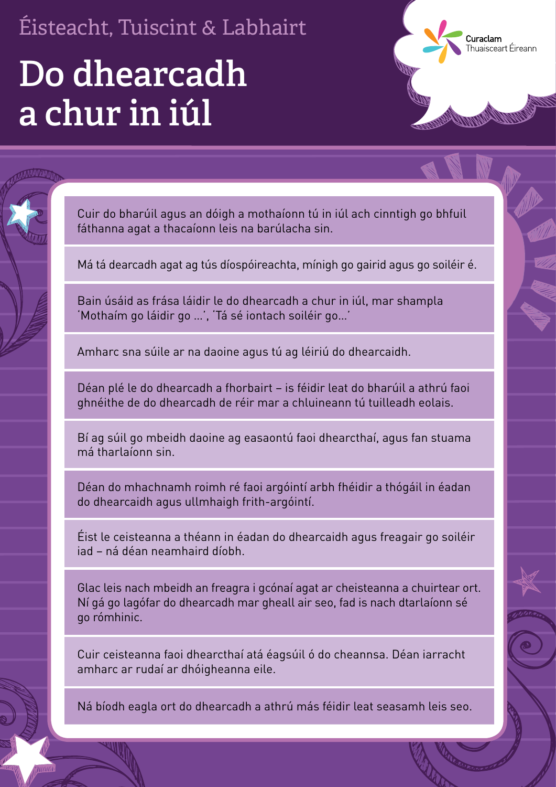## **Do dhearcadh a chur in iúl**

Cuir do bharúil agus an dóigh a mothaíonn tú in iúl ach cinntigh go bhfuil fáthanna agat a thacaíonn leis na barúlacha sin.

Curaclam

**arastarri**<br>nuaisceart Éireann

Má tá dearcadh agat ag tús díospóireachta, mínigh go gairid agus go soiléir é.

Bain úsáid as frása láidir le do dhearcadh a chur in iúl, mar shampla 'Mothaím go láidir go …', 'Tá sé iontach soiléir go…'

Amharc sna súile ar na daoine agus tú ag léiriú do dhearcaidh.

Déan plé le do dhearcadh a fhorbairt – is féidir leat do bharúil a athrú faoi ghnéithe de do dhearcadh de réir mar a chluineann tú tuilleadh eolais.

Bí ag súil go mbeidh daoine ag easaontú faoi dhearcthaí, agus fan stuama má tharlaíonn sin.

Déan do mhachnamh roimh ré faoi argóintí arbh fhéidir a thógáil in éadan do dhearcaidh agus ullmhaigh frith-argóintí.

Éist le ceisteanna a théann in éadan do dhearcaidh agus freagair go soiléir iad – ná déan neamhaird díobh.

Glac leis nach mbeidh an freagra i gcónaí agat ar cheisteanna a chuirtear ort. Ní gá go lagófar do dhearcadh mar gheall air seo, fad is nach dtarlaíonn sé go rómhinic.

Cuir ceisteanna faoi dhearcthaí atá éagsúil ó do cheannsa. Déan iarracht amharc ar rudaí ar dhóigheanna eile.

Ná bíodh eagla ort do dhearcadh a athrú más féidir leat seasamh leis seo.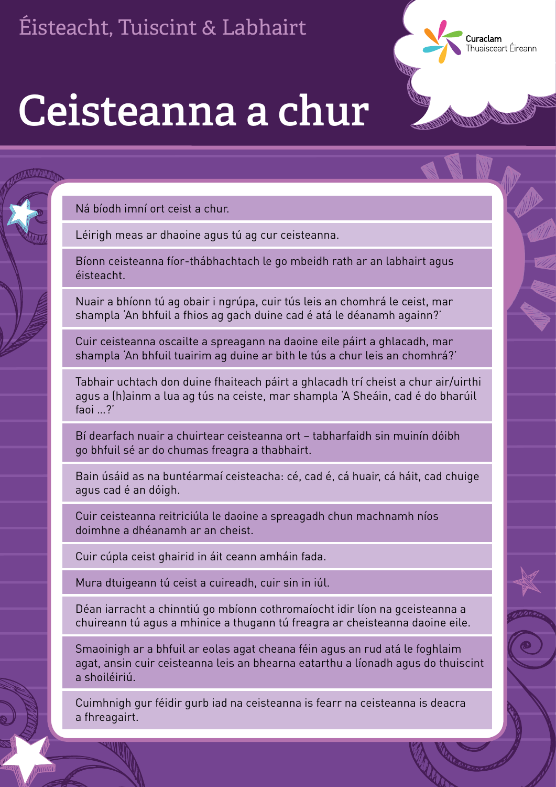**Ceisteanna a chur**

Ná bíodh imní ort ceist a chur.

Léirigh meas ar dhaoine agus tú ag cur ceisteanna.

Bíonn ceisteanna fíor-thábhachtach le go mbeidh rath ar an labhairt agus éisteacht.

Curaclam

**ar detam**<br>nuaisceart Éireann

Nuair a bhíonn tú ag obair i ngrúpa, cuir tús leis an chomhrá le ceist, mar shampla 'An bhfuil a fhios ag gach duine cad é atá le déanamh againn?'

Cuir ceisteanna oscailte a spreagann na daoine eile páirt a ghlacadh, mar shampla 'An bhfuil tuairim ag duine ar bith le tús a chur leis an chomhrá?'

Tabhair uchtach don duine fhaiteach páirt a ghlacadh trí cheist a chur air/uirthi agus a (h)ainm a lua ag tús na ceiste, mar shampla 'A Sheáin, cad é do bharúil faoi …?'

Bí dearfach nuair a chuirtear ceisteanna ort – tabharfaidh sin muinín dóibh go bhfuil sé ar do chumas freagra a thabhairt.

Bain úsáid as na buntéarmaí ceisteacha: cé, cad é, cá huair, cá háit, cad chuige agus cad é an dóigh.

Cuir ceisteanna reitriciúla le daoine a spreagadh chun machnamh níos doimhne a dhéanamh ar an cheist.

Cuir cúpla ceist ghairid in áit ceann amháin fada.

Mura dtuigeann tú ceist a cuireadh, cuir sin in iúl.

Déan iarracht a chinntiú go mbíonn cothromaíocht idir líon na gceisteanna a chuireann tú agus a mhinice a thugann tú freagra ar cheisteanna daoine eile.

Smaoinigh ar a bhfuil ar eolas agat cheana féin agus an rud atá le foghlaim agat, ansin cuir ceisteanna leis an bhearna eatarthu a líonadh agus do thuiscint a shoiléiriú.

Cuimhnigh gur féidir gurb iad na ceisteanna is fearr na ceisteanna is deacra a fhreagairt.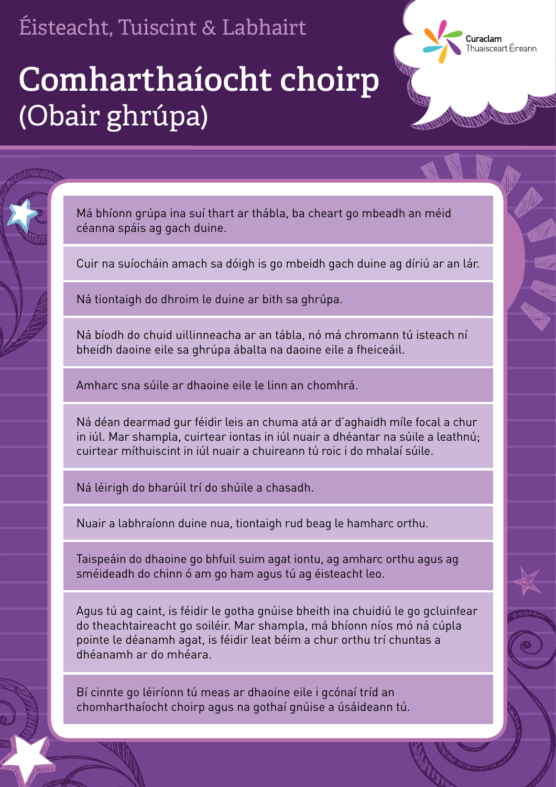Má bhíonn grúpa ina suí thart ar thábla, ba cheart go mbeadh an méid céanna spáis ag gach duine.

Cuir na suíocháin amach sa dóigh is go mbeidh gach duine ag díriú ar an lár.

Curaclam

Ná tiontaigh do dhroim le duine ar bith sa ghrúpa.

Ná bíodh do chuid uillinneacha ar an tábla, nó má chromann tú isteach ní bheidh daoine eile sa ghrúpa ábalta na daoine eile a fheiceáil.

Amharc sna súile ar dhaoine eile le linn an chomhrá.

Ná déan dearmad gur féidir leis an chuma atá ar d'aghaidh míle focal a chur in iúl. Mar shampla, cuirtear iontas in iúl nuair a dhéantar na súile a leathnú; cuirtear míthuiscint in iúl nuair a chuireann tú roic i do mhalaí súile.

## (Obair ghrúpa) **Comharthaíocht choirp**

Ná léirigh do bharúil trí do shúile a chasadh.

Nuair a labhraíonn duine nua, tiontaigh rud beag le hamharc orthu.

Taispeáin do dhaoine go bhfuil suim agat iontu, ag amharc orthu agus ag sméideadh do chinn ó am go ham agus tú ag éisteacht leo.

Agus tú ag caint, is féidir le gotha gnúise bheith ina chuidiú le go gcluinfear do theachtaireacht go soiléir. Mar shampla, má bhíonn níos mó ná cúpla pointe le déanamh agat, is féidir leat béim a chur orthu trí chuntas a dhéanamh ar do mhéara.

Bí cinnte go léiríonn tú meas ar dhaoine eile i gcónaí tríd an chomharthaíocht choirp agus na gothaí gnúise a úsáideann tú.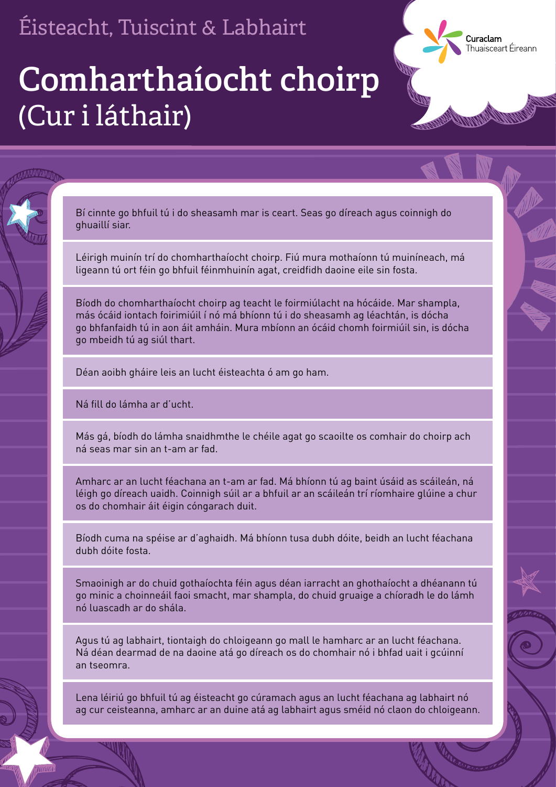Bí cinnte go bhfuil tú i do sheasamh mar is ceart. Seas go díreach agus coinnigh do ghuaillí siar.

Curaclam

Thuaisceart Éireann

Léirigh muinín trí do chomharthaíocht choirp. Fiú mura mothaíonn tú muiníneach, má ligeann tú ort féin go bhfuil féinmhuinín agat, creidfidh daoine eile sin fosta.

Bíodh do chomharthaíocht choirp ag teacht le foirmiúlacht na hócáide. Mar shampla, más ócáid iontach foirimiúil í nó má bhíonn tú i do sheasamh ag léachtán, is dócha go bhfanfaidh tú in aon áit amháin. Mura mbíonn an ócáid chomh foirmiúil sin, is dócha go mbeidh tú ag siúl thart.

Déan aoibh gháire leis an lucht éisteachta ó am go ham.

Ná fill do lámha ar d'ucht.

Más gá, bíodh do lámha snaidhmthe le chéile agat go scaoilte os comhair do choirp ach ná seas mar sin an t-am ar fad.

Amharc ar an lucht féachana an t-am ar fad. Má bhíonn tú ag baint úsáid as scáileán, ná léigh go díreach uaidh. Coinnigh súil ar a bhfuil ar an scáileán trí ríomhaire glúine a chur os do chomhair áit éigin cóngarach duit.

Bíodh cuma na spéise ar d'aghaidh. Má bhíonn tusa dubh dóite, beidh an lucht féachana dubh dóite fosta.

Smaoinigh ar do chuid gothaíochta féin agus déan iarracht an ghothaíocht a dhéanann tú go minic a choinneáil faoi smacht, mar shampla, do chuid gruaige a chíoradh le do lámh nó luascadh ar do shála.

Agus tú ag labhairt, tiontaigh do chloigeann go mall le hamharc ar an lucht féachana. Ná déan dearmad de na daoine atá go díreach os do chomhair nó i bhfad uait i gcúinní an tseomra.

Lena léiriú go bhfuil tú ag éisteacht go cúramach agus an lucht féachana ag labhairt nó ag cur ceisteanna, amharc ar an duine atá ag labhairt agus sméid nó claon do chloigeann.

## (Cur i láthair) **Comharthaíocht choirp**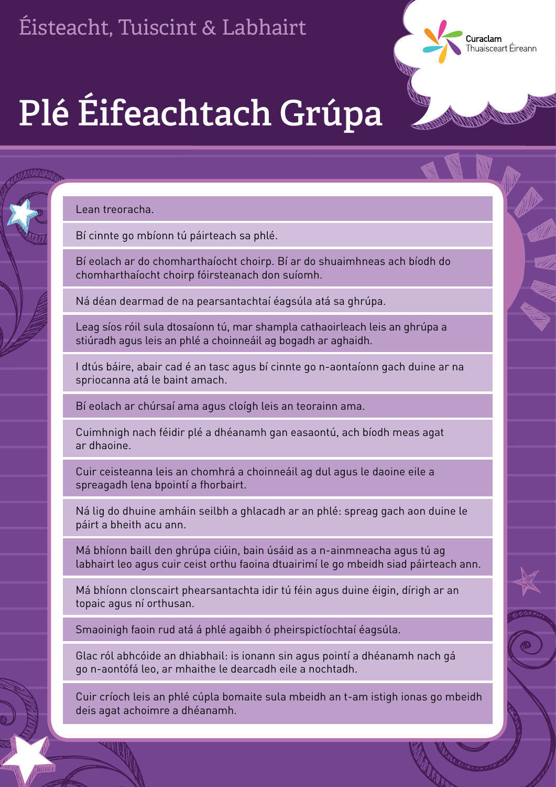**Plé Éifeachtach Grúpa**

Lean treoracha.

Bí cinnte go mbíonn tú páirteach sa phlé.

Bí eolach ar do chomharthaíocht choirp. Bí ar do shuaimhneas ach bíodh do chomharthaíocht choirp fóirsteanach don suíomh.

Curaclam

ar abunn<br>Nuaisceart Éireann

Ná déan dearmad de na pearsantachtaí éagsúla atá sa ghrúpa.

Leag síos róil sula dtosaíonn tú, mar shampla cathaoirleach leis an ghrúpa a stiúradh agus leis an phlé a choinneáil ag bogadh ar aghaidh.

I dtús báire, abair cad é an tasc agus bí cinnte go n-aontaíonn gach duine ar na spriocanna atá le baint amach.

Bí eolach ar chúrsaí ama agus cloígh leis an teorainn ama.

Cuimhnigh nach féidir plé a dhéanamh gan easaontú, ach bíodh meas agat ar dhaoine.

Cuir ceisteanna leis an chomhrá a choinneáil ag dul agus le daoine eile a spreagadh lena bpointí a fhorbairt.

Ná lig do dhuine amháin seilbh a ghlacadh ar an phlé: spreag gach aon duine le páirt a bheith acu ann.

Má bhíonn baill den ghrúpa ciúin, bain úsáid as a n-ainmneacha agus tú ag labhairt leo agus cuir ceist orthu faoina dtuairimí le go mbeidh siad páirteach ann.

Má bhíonn clonscairt phearsantachta idir tú féin agus duine éigin, dírigh ar an topaic agus ní orthusan.

Smaoinigh faoin rud atá á phlé agaibh ó pheirspictíochtaí éagsúla.

Glac ról abhcóide an dhiabhail: is ionann sin agus pointí a dhéanamh nach gá go n-aontófá leo, ar mhaithe le dearcadh eile a nochtadh.

Cuir críoch leis an phlé cúpla bomaite sula mbeidh an t-am istigh ionas go mbeidh deis agat achoimre a dhéanamh.